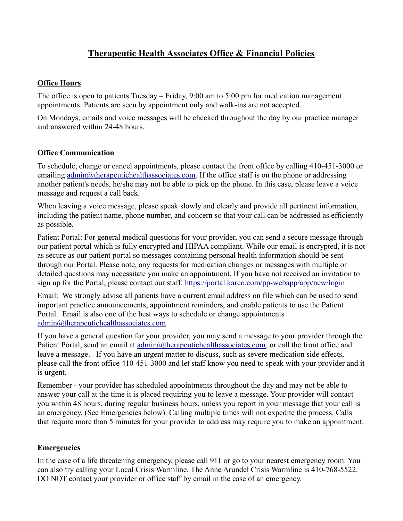# **Therapeutic Health Associates Office & Financial Policies**

### **Office Hours**

The office is open to patients Tuesday – Friday, 9:00 am to 5:00 pm for medication management appointments. Patients are seen by appointment only and walk-ins are not accepted.

On Mondays, emails and voice messages will be checked throughout the day by our practice manager and answered within 24-48 hours.

#### **Office Communication**

To schedule, change or cancel appointments, please contact the front office by calling 410-451-3000 or emailing [admin@therapeutichealthassociates.com.](mailto:admin@therapeutichealthassociates.com) If the office staff is on the phone or addressing another patient's needs, he/she may not be able to pick up the phone. In this case, please leave a voice message and request a call back.

When leaving a voice message, please speak slowly and clearly and provide all pertinent information, including the patient name, phone number, and concern so that your call can be addressed as efficiently as possible.

Patient Portal: For general medical questions for your provider, you can send a secure message through our patient portal which is fully encrypted and HIPAA compliant. While our email is encrypted, it is not as secure as our patient portal so messages containing personal health information should be sent through our Portal. Please note, any requests for medication changes or messages with multiple or detailed questions may necessitate you make an appointment. If you have not received an invitation to sign up for the Portal, please contact our staff.<https://portal.kareo.com/pp-webapp/app/new/login>

Email: We strongly advise all patients have a current email address on file which can be used to send important practice announcements, appointment reminders, and enable patients to use the Patient Portal. Email is also one of the best ways to schedule or change appointments [admin@therapeutichealthassociates.com](mailto:admin@therapeutichealthassociates.com)

If you have a general question for your provider, you may send a message to your provider through the Patient Portal, send an email at [admin@therapeutichealthassociates.com,](mailto:admin@therapeutichealthassociates.com) or call the front office and leave a message. If you have an urgent matter to discuss, such as severe medication side effects, please call the front office 410-451-3000 and let staff know you need to speak with your provider and it is urgent.

Remember - your provider has scheduled appointments throughout the day and may not be able to answer your call at the time it is placed requiring you to leave a message. Your provider will contact you within 48 hours, during regular business hours, unless you report in your message that your call is an emergency. (See Emergencies below). Calling multiple times will not expedite the process. Calls that require more than 5 minutes for your provider to address may require you to make an appointment.

#### **Emergencies**

In the case of a life threatening emergency, please call 911 or go to your nearest emergency room. You can also try calling your Local Crisis Warmline. The Anne Arundel Crisis Warmline is 410-768-5522. DO NOT contact your provider or office staff by email in the case of an emergency.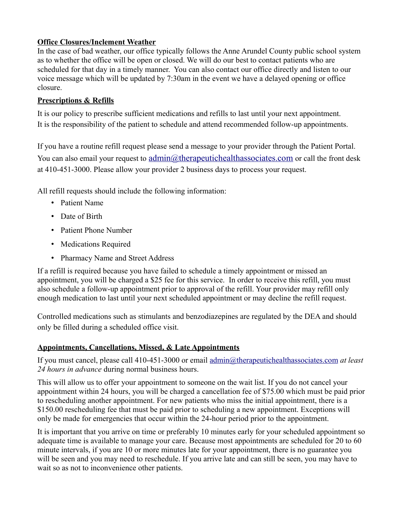### **Office Closures/Inclement Weather**

In the case of bad weather, our office typically follows the Anne Arundel County public school system as to whether the office will be open or closed. We will do our best to contact patients who are scheduled for that day in a timely manner. You can also contact our office directly and listen to our voice message which will be updated by 7:30am in the event we have a delayed opening or office closure.

### **Prescriptions & Refills**

It is our policy to prescribe sufficient medications and refills to last until your next appointment. It is the responsibility of the patient to schedule and attend recommended follow-up appointments.

If you have a routine refill request please send a message to your provider through the Patient Portal. You can also email your request to [admin@therapeutichealthassociates.com](mailto:admin@therapeutichealthassociates.com) or call the front desk at 410-451-3000. Please allow your provider 2 business days to process your request.

All refill requests should include the following information:

- Patient Name
- Date of Birth
- Patient Phone Number
- Medications Required
- Pharmacy Name and Street Address

If a refill is required because you have failed to schedule a timely appointment or missed an appointment, you will be charged a \$25 fee for this service. In order to receive this refill, you must also schedule a follow-up appointment prior to approval of the refill. Your provider may refill only enough medication to last until your next scheduled appointment or may decline the refill request.

Controlled medications such as stimulants and benzodiazepines are regulated by the DEA and should only be filled during a scheduled office visit.

## **Appointments, Cancellations, Missed, & Late Appointments**

If you must cancel, please call 410-451-3000 or email [admin@therapeutichealthassociates.com](mailto:admin@therapeutichealthassociates.com) *at least 24 hours in advance* during normal business hours.

This will allow us to offer your appointment to someone on the wait list. If you do not cancel your appointment within 24 hours, you will be charged a cancellation fee of \$75.00 which must be paid prior to rescheduling another appointment. For new patients who miss the initial appointment, there is a \$150.00 rescheduling fee that must be paid prior to scheduling a new appointment. Exceptions will only be made for emergencies that occur within the 24-hour period prior to the appointment.

It is important that you arrive on time or preferably 10 minutes early for your scheduled appointment so adequate time is available to manage your care. Because most appointments are scheduled for 20 to 60 minute intervals, if you are 10 or more minutes late for your appointment, there is no guarantee you will be seen and you may need to reschedule. If you arrive late and can still be seen, you may have to wait so as not to inconvenience other patients.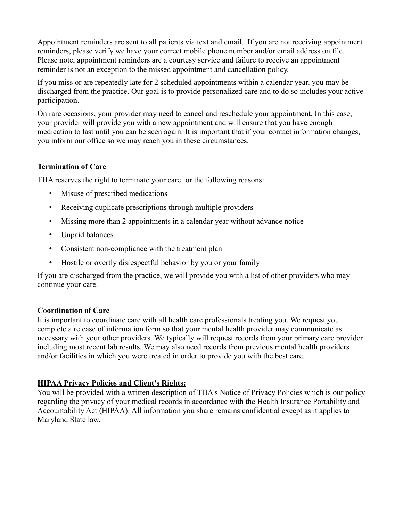Appointment reminders are sent to all patients via text and email. If you are not receiving appointment reminders, please verify we have your correct mobile phone number and/or email address on file. Please note, appointment reminders are a courtesy service and failure to receive an appointment reminder is not an exception to the missed appointment and cancellation policy.

If you miss or are repeatedly late for 2 scheduled appointments within a calendar year, you may be discharged from the practice. Our goal is to provide personalized care and to do so includes your active participation.

On rare occasions, your provider may need to cancel and reschedule your appointment. In this case, your provider will provide you with a new appointment and will ensure that you have enough medication to last until you can be seen again. It is important that if your contact information changes, you inform our office so we may reach you in these circumstances.

### **Termination of Care**

THA reserves the right to terminate your care for the following reasons:

- Misuse of prescribed medications
- Receiving duplicate prescriptions through multiple providers
- Missing more than 2 appointments in a calendar year without advance notice
- Unpaid balances
- Consistent non-compliance with the treatment plan
- Hostile or overtly disrespectful behavior by you or your family

If you are discharged from the practice, we will provide you with a list of other providers who may continue your care.

#### **Coordination of Care**

It is important to coordinate care with all health care professionals treating you. We request you complete a release of information form so that your mental health provider may communicate as necessary with your other providers. We typically will request records from your primary care provider including most recent lab results. We may also need records from previous mental health providers and/or facilities in which you were treated in order to provide you with the best care.

## **HIPAA Privacy Policies and Client's Rights:**

You will be provided with a written description of THA's Notice of Privacy Policies which is our policy regarding the privacy of your medical records in accordance with the Health Insurance Portability and Accountability Act (HIPAA). All information you share remains confidential except as it applies to Maryland State law.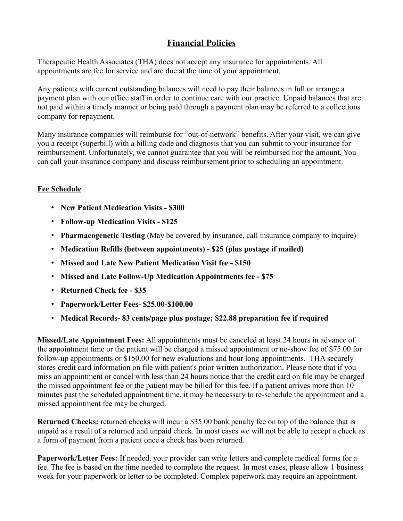# **Financial Policies**

Therapeutic Health Associates (THA) does not accept any insurance for appointments. All appointments are fee for service and are due at the time of your appointment.

Any patients with current outstanding balances will need to pay their balances in full or arrange a payment plan with our office staff in order to continue care with our practice. Unpaid balances that are not paid within a timely manner or being paid through a payment plan may be referred to a collections company for repayment.

Many insurance companies will reimburse for "out-of-network" benefits. After your visit, we can give you a receipt (superbill) with a billing code and diagnosis that you can submit to your insurance for reimbursement. Unfortunately, we cannot guarantee that you will be reimbursed nor the amount. You can call your insurance company and discuss reimbursement prior to scheduling an appointment.

# **Fee Schedule**

- **New Patient Medication Visits \$300**
- **Follow-up Medication Visits \$125**
- **Pharmacogenetic Testing** (May be covered by insurance, call insurance company to inquire)
- **Medication Refills (between appointments) \$25 (plus postage if mailed)**
- **Missed and Late New Patient Medication Visit fee \$150**
- **Missed and Late Follow-Up Medication Appointments fee \$75**
- **Returned Check fee \$35**
- **Paperwork/Letter Fees- \$25.00-\$100.00**
- **Medical Records- 83 cents/page plus postage; \$22.88 preparation fee if required**

**Missed/Late Appointment Fees:** All appointments must be canceled at least 24 hours in advance of the appointment time or the patient will be charged a missed appointment or no-show fee of \$75.00 for follow-up appointments or \$150.00 for new evaluations and hour long appointments. THA securely stores credit card information on file with patient's prior written authorization. Please note that if you miss an appointment or cancel with less than 24 hours notice that the credit card on file may be charged the missed appointment fee or the patient may be billed for this fee. If a patient arrives more than 10 minutes past the scheduled appointment time, it may be necessary to re-schedule the appointment and a missed appointment fee may be charged.

**Returned Checks:** returned checks will incur a \$35.00 bank penalty fee on top of the balance that is unpaid as a result of a returned and unpaid check. In most cases we will not be able to accept a check as a form of payment from a patient once a check has been returned.

**Paperwork/Letter Fees:** If needed, your provider can write letters and complete medical forms for a fee. The fee is based on the time needed to complete the request. In most cases, please allow 1 business week for your paperwork or letter to be completed. Complex paperwork may require an appointment.